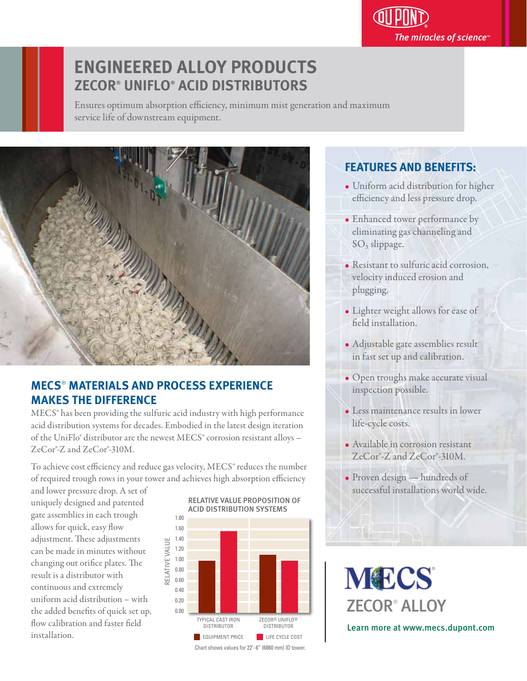## **ENGINEERED ALLOY PRODUCTS ZECOR® UNIFLO® ACID DISTRIBUTORS**

Ensures optimum absorption efficiency, minimum mist generation and maximum service life of downstream equipment.



### **MECS**®  **MATERIALS AND PROCESS EXPERIENCE MAKES THE DIFFERENCE**

MECS® has been providing the sulfuric acid industry with high performance acid distribution systems for decades. Embodied in the latest design iteration of the UniFlo® distributor are the newest MECS® corrosion resistant alloys – ZeCor®-Z and ZeCor®-310M.

To achieve cost efficiency and reduce gas velocity, MECS<sup>®</sup> reduces the number of required trough rows in your tower and achieves high absorption efficiency

and lower pressure drop. A set of uniquely designed and patented gate assemblies in each trough allows for quick, easy flow adjustment. These adjustments can be made in minutes without changing out orifice plates. The result is a distributor with continuous and extremely uniform acid distribution – with the added benefits of quick set up, flow calibration and faster field installation.



### **FEATURES AND BENEFITS:** j

• Uniform acid distribution for higher efficiency and less pressure drop.

The miracles of science $\overline{\ }$ 

- Enhanced tower performance by eliminating gas channeling and SO<sub>3</sub> slippage.
- Resistant to sulfuric acid corrosion, velocity induced erosion and plugging.
- Lighter weight allows for ease of field installation.
- Adjustable gate assemblies result in fast set up and calibration.
- Open troughs make accurate visual inspection possible.
- Less maintenance results in lower life-cycle costs.
- Available in corrosion resistant ZeCor®-Z and ZeCor®-310M.
- Proven design hundreds of successful installations world wide.

**MECS** ZECOR® ALLOY

Learn more at www.mecs.dupont.com